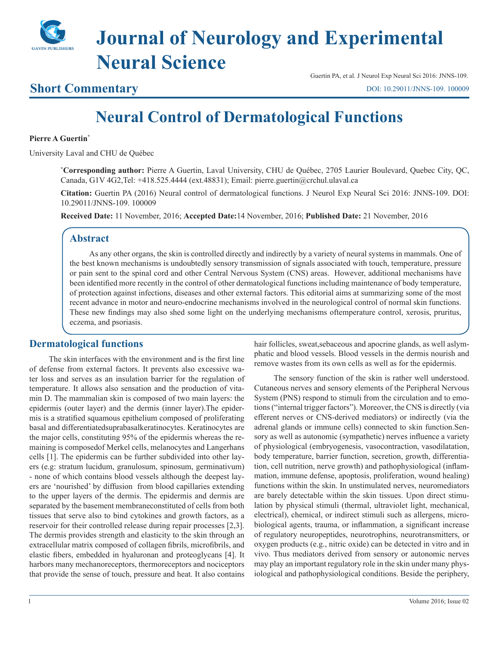

# **Journal of Neurology and Experimental Neural Science**

### **Short Commentary**

Guertin PA, et al. J Neurol Exp Neural Sci 2016: JNNS-109.

[DOI: 10.29011/JNNS-109. 100009](
http://doi.org/10.29011/JNNS-109. 100009)

## **Neural Control of Dermatological Functions**

#### **Pierre A Guertin\***

University Laval and CHU de Québec

**\* Corresponding author:** Pierre A Guertin, Laval University, CHU de Québec, 2705 Laurier Boulevard, Quebec City, QC, Canada, G1V 4G2,Tel: +418.525.4444 (ext.48831); Email: pierre.guertin@crchul.ulaval.ca

**Citation:** Guertin PA (2016) Neural control of dermatological functions. J Neurol Exp Neural Sci 2016: JNNS-109. DOI: 10.29011/JNNS-109. 100009

**Received Date:** 11 November, 2016; **Accepted Date:**14 November, 2016; **Published Date:** 21 November, 2016

#### **Abstract**

As any other organs, the skin is controlled directly and indirectly by a variety of neural systems in mammals. One of the best known mechanisms is undoubtedly sensory transmission of signals associated with touch, temperature, pressure or pain sent to the spinal cord and other Central Nervous System (CNS) areas. However, additional mechanisms have been identified more recently in the control of other dermatological functions including maintenance of body temperature, of protection against infections, diseases and other external factors. This editorial aims at summarizing some of the most recent advance in motor and neuro-endocrine mechanisms involved in the neurological control of normal skin functions. These new findings may also shed some light on the underlying mechanisms oftemperature control, xerosis, pruritus, eczema, and psoriasis.

#### **Dermatological functions**

The skin interfaces with the environment and is the first line of defense from external factors. It prevents also excessive water loss and serves as an insulation barrier for the regulation of temperature. It allows also sensation and the production of vitamin D. The mammalian skin is composed of two main layers: the epidermis (outer layer) and the dermis (inner layer).The epidermis is a stratified squamous epithelium composed of proliferating basal and differentiatedsuprabasalkeratinocytes. Keratinocytes are the major cells, constituting 95% of the epidermis whereas the remaining is composedof Merkel cells, melanocytes and Langerhans cells [1]. The epidermis can be further subdivided into other layers (e.g: stratum lucidum, granulosum, spinosum, germinativum) - none of which contains blood vessels although the deepest layers are 'nourished' by diffusion from blood capillaries extending to the upper layers of the dermis. The epidermis and dermis are separated by the basement membraneconstituted of cells from both tissues that serve also to bind cytokines and growth factors, as a reservoir for their controlled release during repair processes [2,3]. The dermis provides strength and elasticity to the skin through an extracellular matrix composed of collagen fibrils, microfibrils, and elastic fibers, embedded in hyaluronan and proteoglycans [4]. It harbors many mechanoreceptors, thermoreceptors and nociceptors that provide the sense of touch, pressure and heat. It also contains hair follicles, sweat,sebaceous and apocrine glands, as well aslymphatic and blood vessels. Blood vessels in the dermis nourish and remove wastes from its own cells as well as for the epidermis.

The sensory function of the skin is rather well understood. Cutaneous nerves and sensory elements of the Peripheral Nervous System (PNS) respond to stimuli from the circulation and to emotions ("internal trigger factors"). Moreover, the CNS is directly (via efferent nerves or CNS-derived mediators) or indirectly (via the adrenal glands or immune cells) connected to skin function.Sensory as well as autonomic (sympathetic) nerves influence a variety of physiological (embryogenesis, vasocontraction, vasodilatation, body temperature, barrier function, secretion, growth, differentiation, cell nutrition, nerve growth) and pathophysiological (inflammation, immune defense, apoptosis, proliferation, wound healing) functions within the skin. In unstimulated nerves, neuromediators are barely detectable within the skin tissues. Upon direct stimulation by physical stimuli (thermal, ultraviolet light, mechanical, electrical), chemical, or indirect stimuli such as allergens, microbiological agents, trauma, or inflammation, a significant increase of regulatory neuropeptides, neurotrophins, neurotransmitters, or oxygen products (e.g., nitric oxide) can be detected in vitro and in vivo. Thus mediators derived from sensory or autonomic nerves may play an important regulatory role in the skin under many physiological and pathophysiological conditions. Beside the periphery,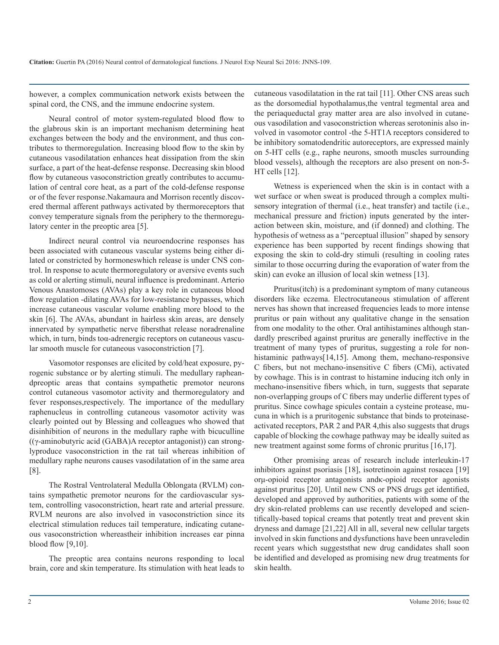however, a complex communication network exists between the spinal cord, the CNS, and the immune endocrine system.

Neural control of motor system-regulated blood flow to the glabrous skin is an important mechanism determining heat exchanges between the body and the environment, and thus contributes to thermoregulation. Increasing blood flow to the skin by cutaneous vasodilatation enhances heat dissipation from the skin surface, a part of the heat-defense response. Decreasing skin blood flow by cutaneous vasoconstriction greatly contributes to accumulation of central core heat, as a part of the cold-defense response or of the fever response.Nakamaura and Morrison recently discovered thermal afferent pathways activated by thermoreceptors that convey temperature signals from the periphery to the thermoregulatory center in the preoptic area [5].

Indirect neural control via neuroendocrine responses has been associated with cutaneous vascular systems being either dilated or constricted by hormoneswhich release is under CNS control. In response to acute thermoregulatory or aversive events such as cold or alerting stimuli, neural influence is predominant. Arterio Venous Anastomoses (AVAs) play a key role in cutaneous blood flow regulation -dilating AVAs for low-resistance bypasses, which increase cutaneous vascular volume enabling more blood to the skin [6]. The AVAs, abundant in hairless skin areas, are densely innervated by sympathetic nerve fibersthat release noradrenaline which, in turn, binds toα-adrenergic receptors on cutaneous vascular smooth muscle for cutaneous vasoconstriction [7].

Vasomotor responses are elicited by cold/heat exposure, pyrogenic substance or by alerting stimuli. The medullary rapheandpreoptic areas that contains sympathetic premotor neurons control cutaneous vasomotor activity and thermoregulatory and fever responses,respectively. The importance of the medullary raphenucleus in controlling cutaneous vasomotor activity was clearly pointed out by Blessing and colleagues who showed that disinhibition of neurons in the medullary raphe with bicuculline ((γ-aminobutyric acid (GABA)A receptor antagonist)) can stronglyproduce vasoconstriction in the rat tail whereas inhibition of medullary raphe neurons causes vasodilatation of in the same area [8].

The Rostral Ventrolateral Medulla Oblongata (RVLM) contains sympathetic premotor neurons for the cardiovascular system, controlling vasoconstriction, heart rate and arterial pressure. RVLM neurons are also involved in vasoconstriction since its electrical stimulation reduces tail temperature, indicating cutaneous vasoconstriction whereastheir inhibition increases ear pinna blood flow [9,10].

The preoptic area contains neurons responding to local brain, core and skin temperature. Its stimulation with heat leads to cutaneous vasodilatation in the rat tail [11]. Other CNS areas such as the dorsomedial hypothalamus,the ventral tegmental area and the periaqueductal gray matter area are also involved in cutaneous vasodilation and vasoconstriction whereas serotoninis also involved in vasomotor control -the 5-HT1A receptors considered to be inhibitory somatodendritic autoreceptors, are expressed mainly on 5-HT cells (e.g., raphe neurons, smooth muscles surrounding blood vessels), although the receptors are also present on non-5- HT cells [12].

Wetness is experienced when the skin is in contact with a wet surface or when sweat is produced through a complex multisensory integration of thermal (i.e., heat transfer) and tactile (i.e., mechanical pressure and friction) inputs generated by the interaction between skin, moisture, and (if donned) and clothing. The hypothesis of wetness as a "perceptual illusion" shaped by sensory experience has been supported by recent findings showing that exposing the skin to cold-dry stimuli (resulting in cooling rates similar to those occurring during the evaporation of water from the skin) can evoke an illusion of local skin wetness [13].

Pruritus(itch) is a predominant symptom of many cutaneous disorders like eczema. Electrocutaneous stimulation of afferent nerves has shown that increased frequencies leads to more intense pruritus or pain without any qualitative change in the sensation from one modality to the other. Oral antihistamines although standardly prescribed against pruritus are generally ineffective in the treatment of many types of pruritus, suggesting a role for nonhistaminic pathways[14,15]. Among them, mechano-responsive C fibers, but not mechano-insensitive C fibers (CMi), activated by cowhage. This is in contrast to histamine inducing itch only in mechano-insensitive fibers which, in turn, suggests that separate non-overlapping groups of C fibers may underlie different types of pruritus. Since cowhage spicules contain a cysteine protease, mucuna in which is a pruritogenic substance that binds to proteinaseactivated receptors, PAR 2 and PAR 4,this also suggests that drugs capable of blocking the cowhage pathway may be ideally suited as new treatment against some forms of chronic pruritus [16,17].

Other promising areas of research include interleukin-17 inhibitors against psoriasis [18], isotretinoin against rosacea [19] orμ-opioid receptor antagonists andκ-opioid receptor agonists against pruritus [20]. Until new CNS or PNS drugs get identified, developed and approved by authorities, patients with some of the dry skin-related problems can use recently developed and scientifically-based topical creams that potently treat and prevent skin dryness and damage [21,22] All in all, several new cellular targets involved in skin functions and dysfunctions have been unraveledin recent years which suggeststhat new drug candidates shall soon be identified and developed as promising new drug treatments for skin health.